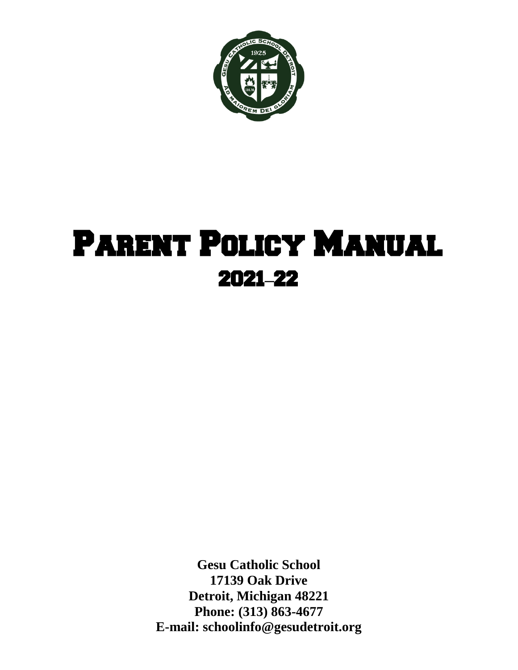

# Parent Policy Manual 2021**–**22

**Gesu Catholic School 17139 Oak Drive Detroit, Michigan 48221 Phone: (313) 863-4677 E-mail: schoolinfo@gesudetroit.org**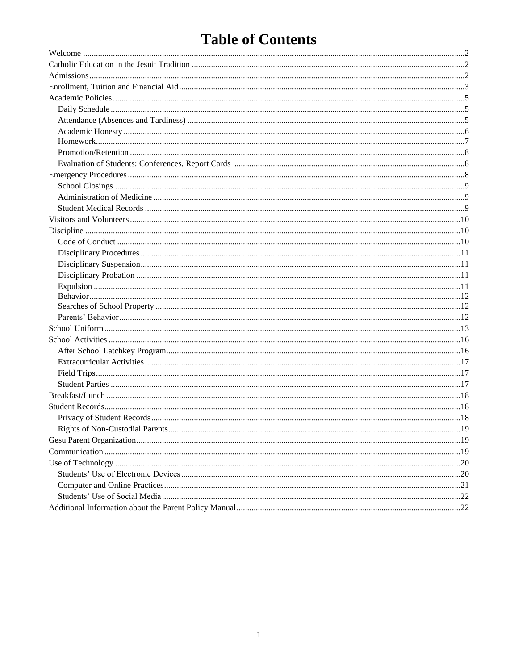# **Table of Contents**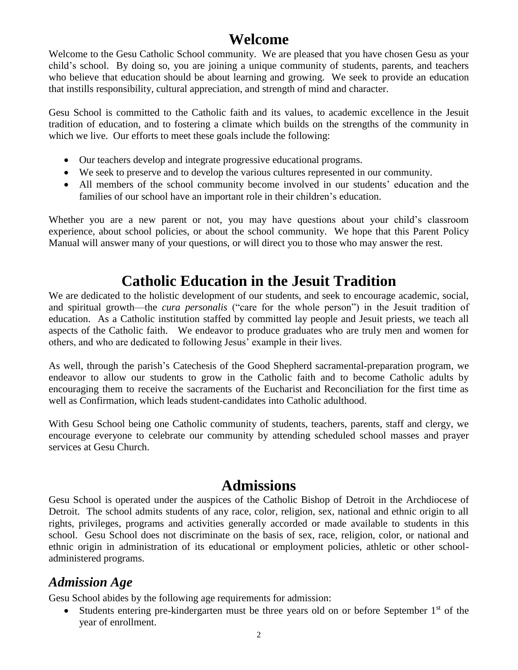## **Welcome**

Welcome to the Gesu Catholic School community. We are pleased that you have chosen Gesu as your child's school. By doing so, you are joining a unique community of students, parents, and teachers who believe that education should be about learning and growing. We seek to provide an education that instills responsibility, cultural appreciation, and strength of mind and character.

Gesu School is committed to the Catholic faith and its values, to academic excellence in the Jesuit tradition of education, and to fostering a climate which builds on the strengths of the community in which we live. Our efforts to meet these goals include the following:

- Our teachers develop and integrate progressive educational programs.
- We seek to preserve and to develop the various cultures represented in our community.
- All members of the school community become involved in our students' education and the families of our school have an important role in their children's education.

Whether you are a new parent or not, you may have questions about your child's classroom experience, about school policies, or about the school community. We hope that this Parent Policy Manual will answer many of your questions, or will direct you to those who may answer the rest.

## **Catholic Education in the Jesuit Tradition**

We are dedicated to the holistic development of our students, and seek to encourage academic, social, and spiritual growth—the *cura personalis* ("care for the whole person") in the Jesuit tradition of education. As a Catholic institution staffed by committed lay people and Jesuit priests, we teach all aspects of the Catholic faith. We endeavor to produce graduates who are truly men and women for others, and who are dedicated to following Jesus' example in their lives.

As well, through the parish's Catechesis of the Good Shepherd sacramental-preparation program, we endeavor to allow our students to grow in the Catholic faith and to become Catholic adults by encouraging them to receive the sacraments of the Eucharist and Reconciliation for the first time as well as Confirmation, which leads student-candidates into Catholic adulthood.

With Gesu School being one Catholic community of students, teachers, parents, staff and clergy, we encourage everyone to celebrate our community by attending scheduled school masses and prayer services at Gesu Church.

## **Admissions**

Gesu School is operated under the auspices of the Catholic Bishop of Detroit in the Archdiocese of Detroit. The school admits students of any race, color, religion, sex, national and ethnic origin to all rights, privileges, programs and activities generally accorded or made available to students in this school. Gesu School does not discriminate on the basis of sex, race, religion, color, or national and ethnic origin in administration of its educational or employment policies, athletic or other schooladministered programs.

#### *Admission Age*

Gesu School abides by the following age requirements for admission:

• Students entering pre-kindergarten must be three years old on or before September  $1<sup>st</sup>$  of the year of enrollment.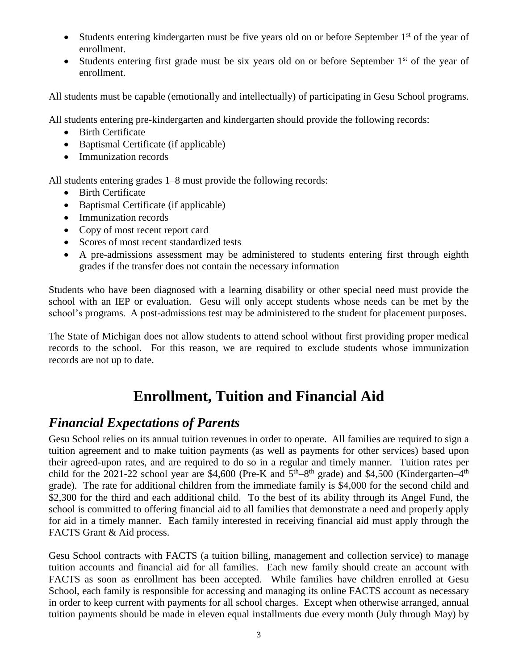- Students entering kindergarten must be five years old on or before September  $1<sup>st</sup>$  of the year of enrollment.
- Students entering first grade must be six years old on or before September  $1<sup>st</sup>$  of the year of enrollment.

All students must be capable (emotionally and intellectually) of participating in Gesu School programs.

All students entering pre-kindergarten and kindergarten should provide the following records:

- Birth Certificate
- Baptismal Certificate (if applicable)
- Immunization records

All students entering grades 1–8 must provide the following records:

- Birth Certificate
- Baptismal Certificate (if applicable)
- Immunization records
- Copy of most recent report card
- Scores of most recent standardized tests
- A pre-admissions assessment may be administered to students entering first through eighth grades if the transfer does not contain the necessary information

Students who have been diagnosed with a learning disability or other special need must provide the school with an IEP or evaluation. Gesu will only accept students whose needs can be met by the school's programs. A post-admissions test may be administered to the student for placement purposes.

The State of Michigan does not allow students to attend school without first providing proper medical records to the school. For this reason, we are required to exclude students whose immunization records are not up to date.

# **Enrollment, Tuition and Financial Aid**

#### *Financial Expectations of Parents*

Gesu School relies on its annual tuition revenues in order to operate. All families are required to sign a tuition agreement and to make tuition payments (as well as payments for other services) based upon their agreed-upon rates, and are required to do so in a regular and timely manner. Tuition rates per child for the 2021-22 school year are \$4,600 (Pre-K and  $5<sup>th</sup>-8<sup>th</sup>$  grade) and \$4,500 (Kindergarten–4<sup>th</sup>) grade). The rate for additional children from the immediate family is \$4,000 for the second child and \$2,300 for the third and each additional child. To the best of its ability through its Angel Fund, the school is committed to offering financial aid to all families that demonstrate a need and properly apply for aid in a timely manner. Each family interested in receiving financial aid must apply through the FACTS Grant & Aid process.

Gesu School contracts with FACTS (a tuition billing, management and collection service) to manage tuition accounts and financial aid for all families. Each new family should create an account with FACTS as soon as enrollment has been accepted. While families have children enrolled at Gesu School, each family is responsible for accessing and managing its online FACTS account as necessary in order to keep current with payments for all school charges. Except when otherwise arranged, annual tuition payments should be made in eleven equal installments due every month (July through May) by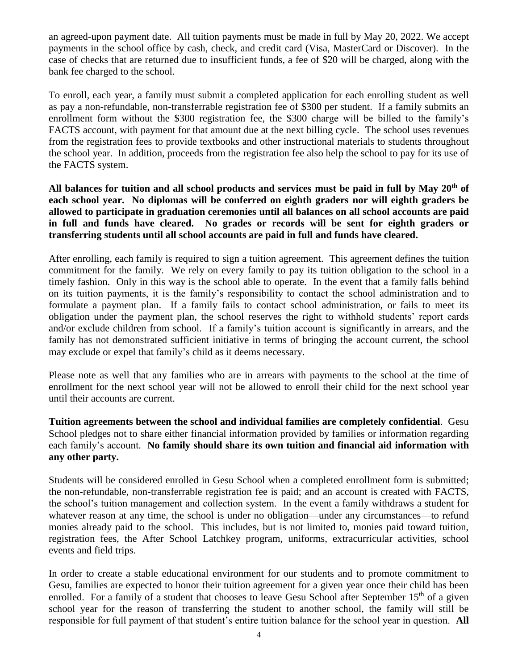an agreed-upon payment date. All tuition payments must be made in full by May 20, 2022. We accept payments in the school office by cash, check, and credit card (Visa, MasterCard or Discover). In the case of checks that are returned due to insufficient funds, a fee of \$20 will be charged, along with the bank fee charged to the school.

To enroll, each year, a family must submit a completed application for each enrolling student as well as pay a non-refundable, non-transferrable registration fee of \$300 per student. If a family submits an enrollment form without the \$300 registration fee, the \$300 charge will be billed to the family's FACTS account, with payment for that amount due at the next billing cycle. The school uses revenues from the registration fees to provide textbooks and other instructional materials to students throughout the school year. In addition, proceeds from the registration fee also help the school to pay for its use of the FACTS system.

**All balances for tuition and all school products and services must be paid in full by May 20th of each school year. No diplomas will be conferred on eighth graders nor will eighth graders be allowed to participate in graduation ceremonies until all balances on all school accounts are paid in full and funds have cleared. No grades or records will be sent for eighth graders or transferring students until all school accounts are paid in full and funds have cleared.**

After enrolling, each family is required to sign a tuition agreement. This agreement defines the tuition commitment for the family. We rely on every family to pay its tuition obligation to the school in a timely fashion. Only in this way is the school able to operate. In the event that a family falls behind on its tuition payments, it is the family's responsibility to contact the school administration and to formulate a payment plan. If a family fails to contact school administration, or fails to meet its obligation under the payment plan, the school reserves the right to withhold students' report cards and/or exclude children from school. If a family's tuition account is significantly in arrears, and the family has not demonstrated sufficient initiative in terms of bringing the account current, the school may exclude or expel that family's child as it deems necessary.

Please note as well that any families who are in arrears with payments to the school at the time of enrollment for the next school year will not be allowed to enroll their child for the next school year until their accounts are current.

**Tuition agreements between the school and individual families are completely confidential**. Gesu School pledges not to share either financial information provided by families or information regarding each family's account. **No family should share its own tuition and financial aid information with any other party.**

Students will be considered enrolled in Gesu School when a completed enrollment form is submitted; the non-refundable, non-transferrable registration fee is paid; and an account is created with FACTS, the school's tuition management and collection system. In the event a family withdraws a student for whatever reason at any time, the school is under no obligation—under any circumstances—to refund monies already paid to the school. This includes, but is not limited to, monies paid toward tuition, registration fees, the After School Latchkey program, uniforms, extracurricular activities, school events and field trips.

In order to create a stable educational environment for our students and to promote commitment to Gesu, families are expected to honor their tuition agreement for a given year once their child has been enrolled. For a family of a student that chooses to leave Gesu School after September 15<sup>th</sup> of a given school year for the reason of transferring the student to another school, the family will still be responsible for full payment of that student's entire tuition balance for the school year in question. **All**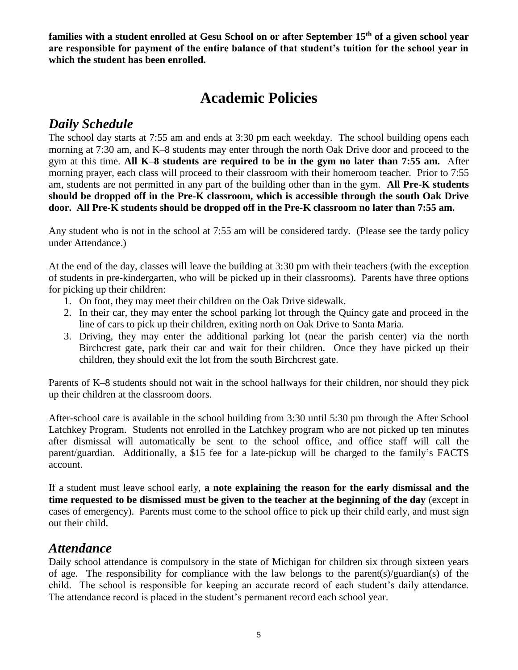**families with a student enrolled at Gesu School on or after September 15th of a given school year are responsible for payment of the entire balance of that student's tuition for the school year in which the student has been enrolled.**

## **Academic Policies**

#### *Daily Schedule*

The school day starts at 7:55 am and ends at 3:30 pm each weekday. The school building opens each morning at 7:30 am, and K–8 students may enter through the north Oak Drive door and proceed to the gym at this time. **All K–8 students are required to be in the gym no later than 7:55 am.** After morning prayer, each class will proceed to their classroom with their homeroom teacher. Prior to 7:55 am, students are not permitted in any part of the building other than in the gym. **All Pre-K students should be dropped off in the Pre-K classroom, which is accessible through the south Oak Drive door. All Pre-K students should be dropped off in the Pre-K classroom no later than 7:55 am.**

Any student who is not in the school at 7:55 am will be considered tardy. (Please see the tardy policy under Attendance.)

At the end of the day, classes will leave the building at 3:30 pm with their teachers (with the exception of students in pre-kindergarten, who will be picked up in their classrooms). Parents have three options for picking up their children:

- 1. On foot, they may meet their children on the Oak Drive sidewalk.
- 2. In their car, they may enter the school parking lot through the Quincy gate and proceed in the line of cars to pick up their children, exiting north on Oak Drive to Santa Maria.
- 3. Driving, they may enter the additional parking lot (near the parish center) via the north Birchcrest gate, park their car and wait for their children. Once they have picked up their children, they should exit the lot from the south Birchcrest gate.

Parents of K–8 students should not wait in the school hallways for their children, nor should they pick up their children at the classroom doors.

After-school care is available in the school building from 3:30 until 5:30 pm through the After School Latchkey Program. Students not enrolled in the Latchkey program who are not picked up ten minutes after dismissal will automatically be sent to the school office, and office staff will call the parent/guardian. Additionally, a \$15 fee for a late-pickup will be charged to the family's FACTS account.

If a student must leave school early, **a note explaining the reason for the early dismissal and the time requested to be dismissed must be given to the teacher at the beginning of the day** (except in cases of emergency). Parents must come to the school office to pick up their child early, and must sign out their child.

#### *Attendance*

Daily school attendance is compulsory in the state of Michigan for children six through sixteen years of age. The responsibility for compliance with the law belongs to the parent(s)/guardian(s) of the child. The school is responsible for keeping an accurate record of each student's daily attendance. The attendance record is placed in the student's permanent record each school year.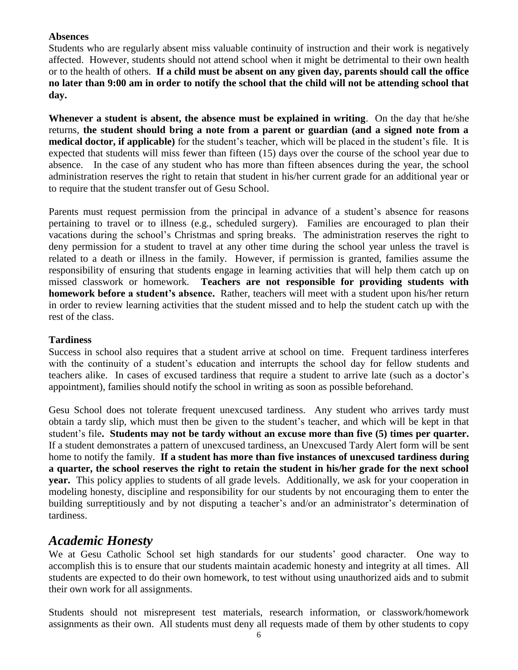#### **Absences**

Students who are regularly absent miss valuable continuity of instruction and their work is negatively affected. However, students should not attend school when it might be detrimental to their own health or to the health of others. **If a child must be absent on any given day, parents should call the office no later than 9:00 am in order to notify the school that the child will not be attending school that day.**

**Whenever a student is absent, the absence must be explained in writing**. On the day that he/she returns, **the student should bring a note from a parent or guardian (and a signed note from a medical doctor, if applicable)** for the student's teacher, which will be placed in the student's file. It is expected that students will miss fewer than fifteen (15) days over the course of the school year due to absence. In the case of any student who has more than fifteen absences during the year, the school administration reserves the right to retain that student in his/her current grade for an additional year or to require that the student transfer out of Gesu School.

Parents must request permission from the principal in advance of a student's absence for reasons pertaining to travel or to illness (e.g., scheduled surgery). Families are encouraged to plan their vacations during the school's Christmas and spring breaks. The administration reserves the right to deny permission for a student to travel at any other time during the school year unless the travel is related to a death or illness in the family. However, if permission is granted, families assume the responsibility of ensuring that students engage in learning activities that will help them catch up on missed classwork or homework. **Teachers are not responsible for providing students with homework before a student's absence.** Rather, teachers will meet with a student upon his/her return in order to review learning activities that the student missed and to help the student catch up with the rest of the class.

#### **Tardiness**

Success in school also requires that a student arrive at school on time. Frequent tardiness interferes with the continuity of a student's education and interrupts the school day for fellow students and teachers alike. In cases of excused tardiness that require a student to arrive late (such as a doctor's appointment), families should notify the school in writing as soon as possible beforehand.

Gesu School does not tolerate frequent unexcused tardiness. Any student who arrives tardy must obtain a tardy slip, which must then be given to the student's teacher, and which will be kept in that student's file**. Students may not be tardy without an excuse more than five (5) times per quarter.**  If a student demonstrates a pattern of unexcused tardiness, an Unexcused Tardy Alert form will be sent home to notify the family. **If a student has more than five instances of unexcused tardiness during a quarter, the school reserves the right to retain the student in his/her grade for the next school year.** This policy applies to students of all grade levels. Additionally, we ask for your cooperation in modeling honesty, discipline and responsibility for our students by not encouraging them to enter the building surreptitiously and by not disputing a teacher's and/or an administrator's determination of tardiness.

#### *Academic Honesty*

We at Gesu Catholic School set high standards for our students' good character. One way to accomplish this is to ensure that our students maintain academic honesty and integrity at all times. All students are expected to do their own homework, to test without using unauthorized aids and to submit their own work for all assignments.

Students should not misrepresent test materials, research information, or classwork/homework assignments as their own. All students must deny all requests made of them by other students to copy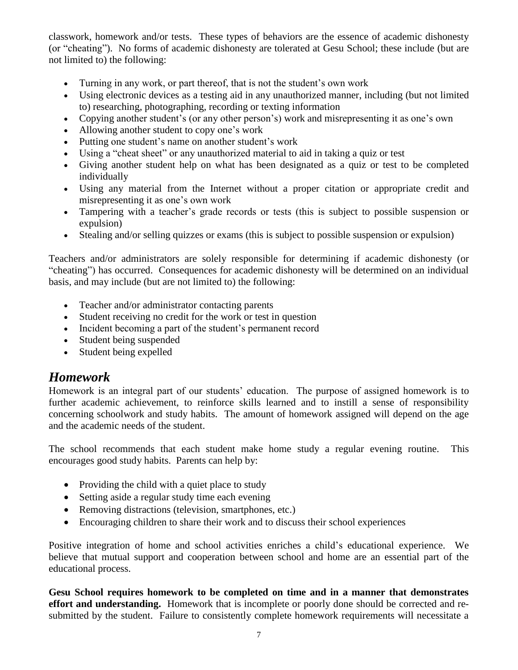classwork, homework and/or tests. These types of behaviors are the essence of academic dishonesty (or "cheating"). No forms of academic dishonesty are tolerated at Gesu School; these include (but are not limited to) the following:

- Turning in any work, or part thereof, that is not the student's own work
- Using electronic devices as a testing aid in any unauthorized manner, including (but not limited to) researching, photographing, recording or texting information
- Copying another student's (or any other person's) work and misrepresenting it as one's own
- Allowing another student to copy one's work
- Putting one student's name on another student's work
- Using a "cheat sheet" or any unauthorized material to aid in taking a quiz or test
- Giving another student help on what has been designated as a quiz or test to be completed individually
- Using any material from the Internet without a proper citation or appropriate credit and misrepresenting it as one's own work
- Tampering with a teacher's grade records or tests (this is subject to possible suspension or expulsion)
- Stealing and/or selling quizzes or exams (this is subject to possible suspension or expulsion)

Teachers and/or administrators are solely responsible for determining if academic dishonesty (or "cheating") has occurred. Consequences for academic dishonesty will be determined on an individual basis, and may include (but are not limited to) the following:

- Teacher and/or administrator contacting parents
- Student receiving no credit for the work or test in question
- Incident becoming a part of the student's permanent record
- Student being suspended
- Student being expelled

#### *Homework*

Homework is an integral part of our students' education. The purpose of assigned homework is to further academic achievement, to reinforce skills learned and to instill a sense of responsibility concerning schoolwork and study habits. The amount of homework assigned will depend on the age and the academic needs of the student.

The school recommends that each student make home study a regular evening routine. This encourages good study habits. Parents can help by:

- Providing the child with a quiet place to study
- Setting aside a regular study time each evening
- Removing distractions (television, smartphones, etc.)
- Encouraging children to share their work and to discuss their school experiences

Positive integration of home and school activities enriches a child's educational experience. We believe that mutual support and cooperation between school and home are an essential part of the educational process.

**Gesu School requires homework to be completed on time and in a manner that demonstrates effort and understanding.** Homework that is incomplete or poorly done should be corrected and resubmitted by the student. Failure to consistently complete homework requirements will necessitate a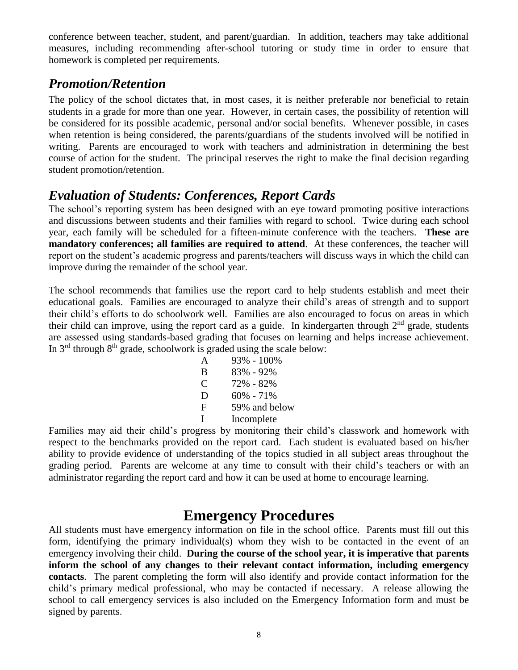conference between teacher, student, and parent/guardian. In addition, teachers may take additional measures, including recommending after-school tutoring or study time in order to ensure that homework is completed per requirements.

#### *Promotion/Retention*

The policy of the school dictates that, in most cases, it is neither preferable nor beneficial to retain students in a grade for more than one year. However, in certain cases, the possibility of retention will be considered for its possible academic, personal and/or social benefits. Whenever possible, in cases when retention is being considered, the parents/guardians of the students involved will be notified in writing. Parents are encouraged to work with teachers and administration in determining the best course of action for the student. The principal reserves the right to make the final decision regarding student promotion/retention.

## *Evaluation of Students: Conferences, Report Cards*

The school's reporting system has been designed with an eye toward promoting positive interactions and discussions between students and their families with regard to school. Twice during each school year, each family will be scheduled for a fifteen-minute conference with the teachers. **These are mandatory conferences; all families are required to attend**. At these conferences, the teacher will report on the student's academic progress and parents/teachers will discuss ways in which the child can improve during the remainder of the school year.

The school recommends that families use the report card to help students establish and meet their educational goals. Families are encouraged to analyze their child's areas of strength and to support their child's efforts to do schoolwork well. Families are also encouraged to focus on areas in which their child can improve, using the report card as a guide. In kindergarten through  $2<sup>nd</sup>$  grade, students are assessed using standards-based grading that focuses on learning and helps increase achievement. In  $3<sup>rd</sup>$  through  $8<sup>th</sup>$  grade, schoolwork is graded using the scale below:

| A | 93% - 100%    |
|---|---------------|
| B | 83% - 92%     |
| C | 72% - 82%     |
| D | $60\% - 71\%$ |
| F | 59% and below |
| Ι | Incomplete    |

Families may aid their child's progress by monitoring their child's classwork and homework with respect to the benchmarks provided on the report card. Each student is evaluated based on his/her ability to provide evidence of understanding of the topics studied in all subject areas throughout the grading period. Parents are welcome at any time to consult with their child's teachers or with an administrator regarding the report card and how it can be used at home to encourage learning.

## **Emergency Procedures**

All students must have emergency information on file in the school office. Parents must fill out this form, identifying the primary individual(s) whom they wish to be contacted in the event of an emergency involving their child. **During the course of the school year, it is imperative that parents inform the school of any changes to their relevant contact information, including emergency contacts**. The parent completing the form will also identify and provide contact information for the child's primary medical professional, who may be contacted if necessary. A release allowing the school to call emergency services is also included on the Emergency Information form and must be signed by parents.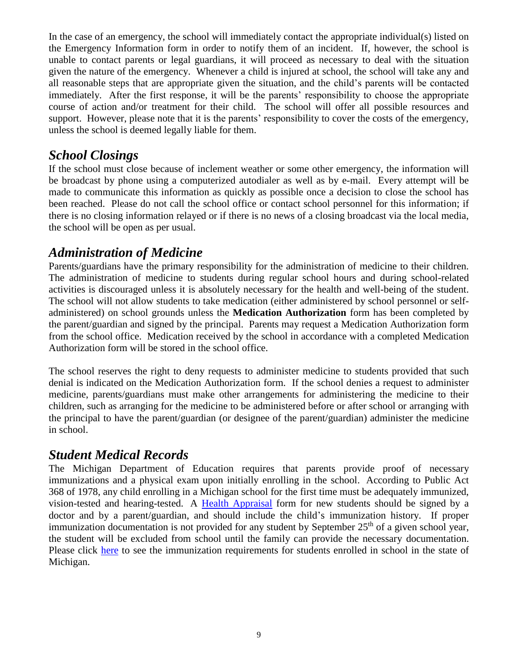In the case of an emergency, the school will immediately contact the appropriate individual(s) listed on the Emergency Information form in order to notify them of an incident. If, however, the school is unable to contact parents or legal guardians, it will proceed as necessary to deal with the situation given the nature of the emergency. Whenever a child is injured at school, the school will take any and all reasonable steps that are appropriate given the situation, and the child's parents will be contacted immediately. After the first response, it will be the parents' responsibility to choose the appropriate course of action and/or treatment for their child. The school will offer all possible resources and support. However, please note that it is the parents' responsibility to cover the costs of the emergency, unless the school is deemed legally liable for them.

#### *School Closings*

If the school must close because of inclement weather or some other emergency, the information will be broadcast by phone using a computerized autodialer as well as by e-mail. Every attempt will be made to communicate this information as quickly as possible once a decision to close the school has been reached. Please do not call the school office or contact school personnel for this information; if there is no closing information relayed or if there is no news of a closing broadcast via the local media, the school will be open as per usual.

#### *Administration of Medicine*

Parents/guardians have the primary responsibility for the administration of medicine to their children. The administration of medicine to students during regular school hours and during school-related activities is discouraged unless it is absolutely necessary for the health and well-being of the student. The school will not allow students to take medication (either administered by school personnel or selfadministered) on school grounds unless the **Medication Authorization** form has been completed by the parent/guardian and signed by the principal. Parents may request a Medication Authorization form from the school office. Medication received by the school in accordance with a completed Medication Authorization form will be stored in the school office.

The school reserves the right to deny requests to administer medicine to students provided that such denial is indicated on the Medication Authorization form. If the school denies a request to administer medicine, parents/guardians must make other arrangements for administering the medicine to their children, such as arranging for the medicine to be administered before or after school or arranging with the principal to have the parent/guardian (or designee of the parent/guardian) administer the medicine in school.

#### *Student Medical Records*

The Michigan Department of Education requires that parents provide proof of necessary immunizations and a physical exam upon initially enrolling in the school. According to Public Act 368 of 1978, any child enrolling in a Michigan school for the first time must be adequately immunized, vision-tested and hearing-tested. A [Health Appraisal](https://www.google.com/url?sa=t&rct=j&q=&esrc=s&source=web&cd=&ved=2ahUKEwiM06ydpdvwAhW5CTQIHS9HACUQFjAAegQIBRAD&url=https%3A%2F%2Fwww.michigan.gov%2Fdocuments%2Fdhs%2FBCAL-3305_09_10_336837_7.pdf&usg=AOvVaw3JUZEo46F-ibD2kRgUO41w) form for new students should be signed by a doctor and by a parent/guardian, and should include the child's immunization history. If proper immunization documentation is not provided for any student by September  $25<sup>th</sup>$  of a given school year, the student will be excluded from school until the family can provide the necessary documentation. Please click [here](https://www.google.com/url?sa=t&rct=j&q=&esrc=s&source=web&cd=&ved=2ahUKEwiep_aWn9vwAhUQMawKHXLvA_QQFjABegQIAhAD&url=https%3A%2F%2Fwww.michigan.gov%2Fdocuments%2Fmdhhs%2FSchool_Req_for_Parents_553547_7.pdf&usg=AOvVaw2f1g1X5-CX2etX1UK3lHm2) to see the immunization requirements for students enrolled in school in the state of Michigan.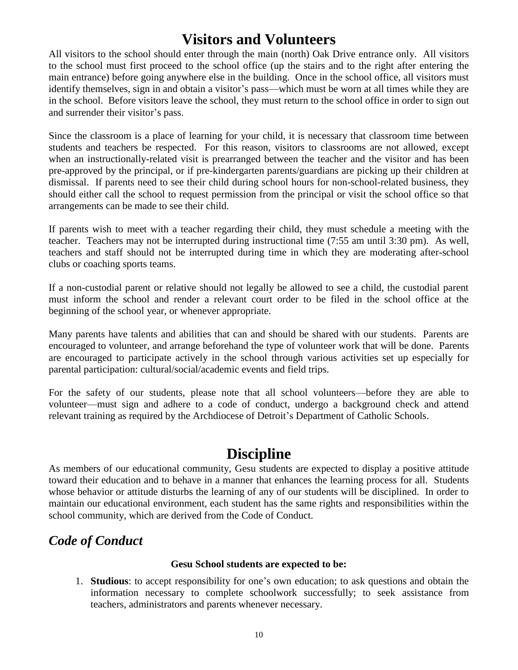## **Visitors and Volunteers**

All visitors to the school should enter through the main (north) Oak Drive entrance only. All visitors to the school must first proceed to the school office (up the stairs and to the right after entering the main entrance) before going anywhere else in the building. Once in the school office, all visitors must identify themselves, sign in and obtain a visitor's pass—which must be worn at all times while they are in the school. Before visitors leave the school, they must return to the school office in order to sign out and surrender their visitor's pass.

Since the classroom is a place of learning for your child, it is necessary that classroom time between students and teachers be respected. For this reason, visitors to classrooms are not allowed, except when an instructionally-related visit is prearranged between the teacher and the visitor and has been pre-approved by the principal, or if pre-kindergarten parents/guardians are picking up their children at dismissal. If parents need to see their child during school hours for non-school-related business, they should either call the school to request permission from the principal or visit the school office so that arrangements can be made to see their child.

If parents wish to meet with a teacher regarding their child, they must schedule a meeting with the teacher. Teachers may not be interrupted during instructional time (7:55 am until 3:30 pm). As well, teachers and staff should not be interrupted during time in which they are moderating after-school clubs or coaching sports teams.

If a non-custodial parent or relative should not legally be allowed to see a child, the custodial parent must inform the school and render a relevant court order to be filed in the school office at the beginning of the school year, or whenever appropriate.

Many parents have talents and abilities that can and should be shared with our students. Parents are encouraged to volunteer, and arrange beforehand the type of volunteer work that will be done. Parents are encouraged to participate actively in the school through various activities set up especially for parental participation: cultural/social/academic events and field trips.

For the safety of our students, please note that all school volunteers—before they are able to volunteer—must sign and adhere to a code of conduct, undergo a background check and attend relevant training as required by the Archdiocese of Detroit's Department of Catholic Schools.

## **Discipline**

As members of our educational community, Gesu students are expected to display a positive attitude toward their education and to behave in a manner that enhances the learning process for all. Students whose behavior or attitude disturbs the learning of any of our students will be disciplined. In order to maintain our educational environment, each student has the same rights and responsibilities within the school community, which are derived from the Code of Conduct.

## *Code of Conduct*

#### **Gesu School students are expected to be:**

1. **Studious**: to accept responsibility for one's own education; to ask questions and obtain the information necessary to complete schoolwork successfully; to seek assistance from teachers, administrators and parents whenever necessary.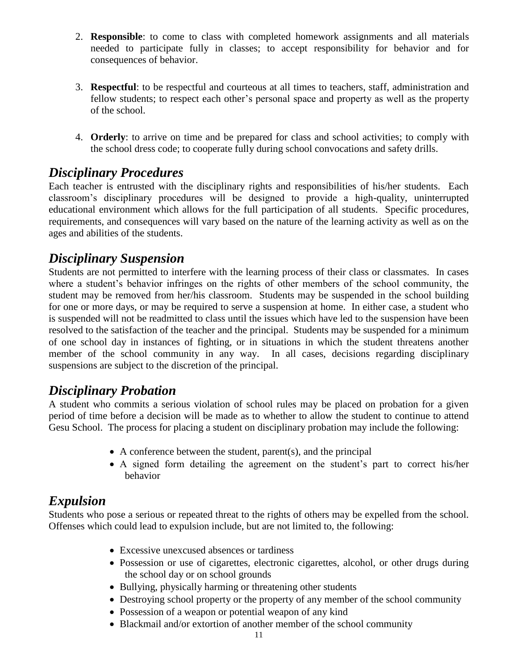- 2. **Responsible**: to come to class with completed homework assignments and all materials needed to participate fully in classes; to accept responsibility for behavior and for consequences of behavior.
- 3. **Respectful**: to be respectful and courteous at all times to teachers, staff, administration and fellow students; to respect each other's personal space and property as well as the property of the school.
- 4. **Orderly**: to arrive on time and be prepared for class and school activities; to comply with the school dress code; to cooperate fully during school convocations and safety drills.

#### *Disciplinary Procedures*

Each teacher is entrusted with the disciplinary rights and responsibilities of his/her students. Each classroom's disciplinary procedures will be designed to provide a high-quality, uninterrupted educational environment which allows for the full participation of all students. Specific procedures, requirements, and consequences will vary based on the nature of the learning activity as well as on the ages and abilities of the students.

#### *Disciplinary Suspension*

Students are not permitted to interfere with the learning process of their class or classmates. In cases where a student's behavior infringes on the rights of other members of the school community, the student may be removed from her/his classroom. Students may be suspended in the school building for one or more days, or may be required to serve a suspension at home. In either case, a student who is suspended will not be readmitted to class until the issues which have led to the suspension have been resolved to the satisfaction of the teacher and the principal. Students may be suspended for a minimum of one school day in instances of fighting, or in situations in which the student threatens another member of the school community in any way. In all cases, decisions regarding disciplinary suspensions are subject to the discretion of the principal.

#### *Disciplinary Probation*

A student who commits a serious violation of school rules may be placed on probation for a given period of time before a decision will be made as to whether to allow the student to continue to attend Gesu School. The process for placing a student on disciplinary probation may include the following:

- A conference between the student, parent(s), and the principal
- A signed form detailing the agreement on the student's part to correct his/her behavior

#### *Expulsion*

Students who pose a serious or repeated threat to the rights of others may be expelled from the school. Offenses which could lead to expulsion include, but are not limited to, the following:

- Excessive unexcused absences or tardiness
- Possession or use of cigarettes, electronic cigarettes, alcohol, or other drugs during the school day or on school grounds
- Bullying, physically harming or threatening other students
- Destroying school property or the property of any member of the school community
- Possession of a weapon or potential weapon of any kind
- Blackmail and/or extortion of another member of the school community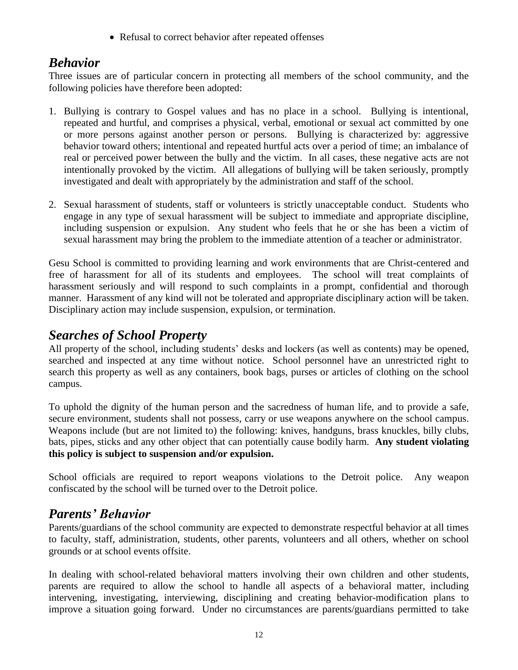• Refusal to correct behavior after repeated offenses

#### *Behavior*

Three issues are of particular concern in protecting all members of the school community, and the following policies have therefore been adopted:

- 1. Bullying is contrary to Gospel values and has no place in a school. Bullying is intentional, repeated and hurtful, and comprises a physical, verbal, emotional or sexual act committed by one or more persons against another person or persons. Bullying is characterized by: aggressive behavior toward others; intentional and repeated hurtful acts over a period of time; an imbalance of real or perceived power between the bully and the victim. In all cases, these negative acts are not intentionally provoked by the victim. All allegations of bullying will be taken seriously, promptly investigated and dealt with appropriately by the administration and staff of the school.
- 2. Sexual harassment of students, staff or volunteers is strictly unacceptable conduct. Students who engage in any type of sexual harassment will be subject to immediate and appropriate discipline, including suspension or expulsion. Any student who feels that he or she has been a victim of sexual harassment may bring the problem to the immediate attention of a teacher or administrator.

Gesu School is committed to providing learning and work environments that are Christ-centered and free of harassment for all of its students and employees. The school will treat complaints of harassment seriously and will respond to such complaints in a prompt, confidential and thorough manner. Harassment of any kind will not be tolerated and appropriate disciplinary action will be taken. Disciplinary action may include suspension, expulsion, or termination.

#### *Searches of School Property*

All property of the school, including students' desks and lockers (as well as contents) may be opened, searched and inspected at any time without notice. School personnel have an unrestricted right to search this property as well as any containers, book bags, purses or articles of clothing on the school campus.

To uphold the dignity of the human person and the sacredness of human life, and to provide a safe, secure environment, students shall not possess, carry or use weapons anywhere on the school campus. Weapons include (but are not limited to) the following: knives, handguns, brass knuckles, billy clubs, bats, pipes, sticks and any other object that can potentially cause bodily harm. **Any student violating this policy is subject to suspension and/or expulsion.**

School officials are required to report weapons violations to the Detroit police. Any weapon confiscated by the school will be turned over to the Detroit police.

## *Parents' Behavior*

Parents/guardians of the school community are expected to demonstrate respectful behavior at all times to faculty, staff, administration, students, other parents, volunteers and all others, whether on school grounds or at school events offsite.

In dealing with school-related behavioral matters involving their own children and other students, parents are required to allow the school to handle all aspects of a behavioral matter, including intervening, investigating, interviewing, disciplining and creating behavior-modification plans to improve a situation going forward. Under no circumstances are parents/guardians permitted to take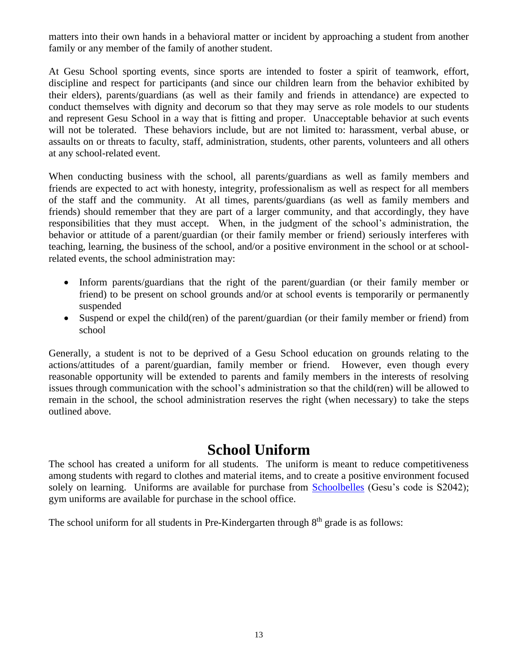matters into their own hands in a behavioral matter or incident by approaching a student from another family or any member of the family of another student.

At Gesu School sporting events, since sports are intended to foster a spirit of teamwork, effort, discipline and respect for participants (and since our children learn from the behavior exhibited by their elders), parents/guardians (as well as their family and friends in attendance) are expected to conduct themselves with dignity and decorum so that they may serve as role models to our students and represent Gesu School in a way that is fitting and proper. Unacceptable behavior at such events will not be tolerated. These behaviors include, but are not limited to: harassment, verbal abuse, or assaults on or threats to faculty, staff, administration, students, other parents, volunteers and all others at any school-related event.

When conducting business with the school, all parents/guardians as well as family members and friends are expected to act with honesty, integrity, professionalism as well as respect for all members of the staff and the community. At all times, parents/guardians (as well as family members and friends) should remember that they are part of a larger community, and that accordingly, they have responsibilities that they must accept. When, in the judgment of the school's administration, the behavior or attitude of a parent/guardian (or their family member or friend) seriously interferes with teaching, learning, the business of the school, and/or a positive environment in the school or at schoolrelated events, the school administration may:

- Inform parents/guardians that the right of the parent/guardian (or their family member or friend) to be present on school grounds and/or at school events is temporarily or permanently suspended
- Suspend or expel the child(ren) of the parent/guardian (or their family member or friend) from school

Generally, a student is not to be deprived of a Gesu School education on grounds relating to the actions/attitudes of a parent/guardian, family member or friend. However, even though every reasonable opportunity will be extended to parents and family members in the interests of resolving issues through communication with the school's administration so that the child(ren) will be allowed to remain in the school, the school administration reserves the right (when necessary) to take the steps outlined above.

## **School Uniform**

The school has created a uniform for all students. The uniform is meant to reduce competitiveness among students with regard to clothes and material items, and to create a positive environment focused solely on learning. Uniforms are available for purchase from [Schoolbelles](https://www.schoolbelles.com/CGI-BIN/LANSAWEB?PROCFUN+WORDPR01+WEBFUNC+M37+funcparms+rdmlend(A0010):Y) (Gesu's code is S2042); gym uniforms are available for purchase in the school office.

The school uniform for all students in Pre-Kindergarten through  $8<sup>th</sup>$  grade is as follows: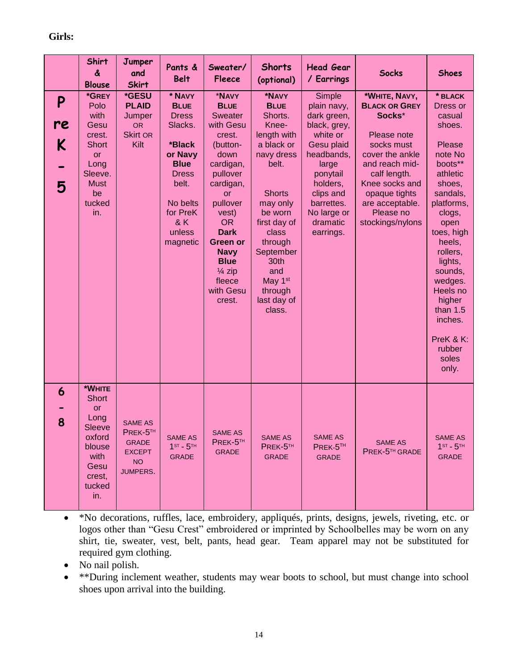|                   | <b>Shirt</b><br>ፈ<br><b>Blouse</b>                                                                                            | Jumper<br>and<br><b>Skirt</b>                                                  | Pants &<br><b>Belt</b>                                                                                                                                             | Sweater/<br><b>Fleece</b>                                                                                                                                                                                                                                                             | <b>Shorts</b><br>(optional)                                                                                                                                                                                                                                     | <b>Head Gear</b><br>/ Earrings                                                                                                                                                                   | <b>Socks</b>                                                                                                                                                                                                             | <b>Shoes</b>                                                                                                                                                                                                                                                                                           |
|-------------------|-------------------------------------------------------------------------------------------------------------------------------|--------------------------------------------------------------------------------|--------------------------------------------------------------------------------------------------------------------------------------------------------------------|---------------------------------------------------------------------------------------------------------------------------------------------------------------------------------------------------------------------------------------------------------------------------------------|-----------------------------------------------------------------------------------------------------------------------------------------------------------------------------------------------------------------------------------------------------------------|--------------------------------------------------------------------------------------------------------------------------------------------------------------------------------------------------|--------------------------------------------------------------------------------------------------------------------------------------------------------------------------------------------------------------------------|--------------------------------------------------------------------------------------------------------------------------------------------------------------------------------------------------------------------------------------------------------------------------------------------------------|
| P<br>re<br>K<br>5 | *GREY<br>Polo<br>with<br>Gesu<br>crest.<br><b>Short</b><br><b>or</b><br>Long<br>Sleeve.<br><b>Must</b><br>be<br>tucked<br>in. | *GESU<br><b>PLAID</b><br>Jumper<br><b>OR</b><br><b>Skirt OR</b><br>Kilt        | * NAVY<br><b>BLUE</b><br><b>Dress</b><br>Slacks.<br>*Black<br>or Navy<br><b>Blue</b><br><b>Dress</b><br>belt.<br>No belts<br>for PreK<br>& K<br>unless<br>magnetic | *NAVY<br><b>BLUE</b><br><b>Sweater</b><br>with Gesu<br>crest.<br>(button-<br>down<br>cardigan,<br>pullover<br>cardigan,<br><b>or</b><br>pullover<br>vest)<br><b>OR</b><br><b>Dark</b><br>Green or<br><b>Navy</b><br><b>Blue</b><br>$\frac{1}{4}$ zip<br>fleece<br>with Gesu<br>crest. | *NAVY<br><b>BLUE</b><br>Shorts.<br>Knee-<br>length with<br>a black or<br>navy dress<br>belt.<br><b>Shorts</b><br>may only<br>be worn<br>first day of<br>class<br>through<br>September<br>30th<br>and<br>May 1 <sup>st</sup><br>through<br>last day of<br>class. | Simple<br>plain navy,<br>dark green,<br>black, grey,<br>white or<br>Gesu plaid<br>headbands,<br>large<br>ponytail<br>holders,<br>clips and<br>barrettes.<br>No large or<br>dramatic<br>earrings. | *WHITE, NAVY,<br><b>BLACK OR GREY</b><br>Socks*<br>Please note<br>socks must<br>cover the ankle<br>and reach mid-<br>calf length.<br>Knee socks and<br>opaque tights<br>are acceptable.<br>Please no<br>stockings/nylons | * BLACK<br>Dress or<br>casual<br>shoes.<br>Please<br>note No<br>boots**<br>athletic<br>shoes,<br>sandals,<br>platforms,<br>clogs,<br>open<br>toes, high<br>heels,<br>rollers,<br>lights,<br>sounds,<br>wedges.<br>Heels no<br>higher<br>than $1.5$<br>inches.<br>PreK & K:<br>rubber<br>soles<br>only. |
| 6<br>8            | *WHITE<br><b>Short</b><br>or<br>Long<br><b>Sleeve</b><br>oxford<br>blouse<br>with<br>Gesu<br>crest,<br>tucked<br>in.          | <b>SAME AS</b><br>PREK-5TH<br><b>GRADE</b><br><b>EXCEPT</b><br>NO.<br>JUMPERS. | <b>SAME AS</b><br>$1ST - 5TH$<br>GRADE                                                                                                                             | SAME AS<br>PREK-5TH<br><b>GRADE</b>                                                                                                                                                                                                                                                   | <b>SAME AS</b><br>PREK-5TH<br><b>GRADE</b>                                                                                                                                                                                                                      | <b>SAME AS</b><br>PREK-5TH<br><b>GRADE</b>                                                                                                                                                       | <b>SAME AS</b><br>PREK-5TH GRADE                                                                                                                                                                                         | <b>SAME AS</b><br>$1ST - 5TH$<br><b>GRADE</b>                                                                                                                                                                                                                                                          |

• \*No decorations, ruffles, lace, embroidery, appliqués, prints, designs, jewels, riveting, etc. or logos other than "Gesu Crest" embroidered or imprinted by Schoolbelles may be worn on any shirt, tie, sweater, vest, belt, pants, head gear. Team apparel may not be substituted for required gym clothing.

• No nail polish.

• \*\*During inclement weather, students may wear boots to school, but must change into school shoes upon arrival into the building.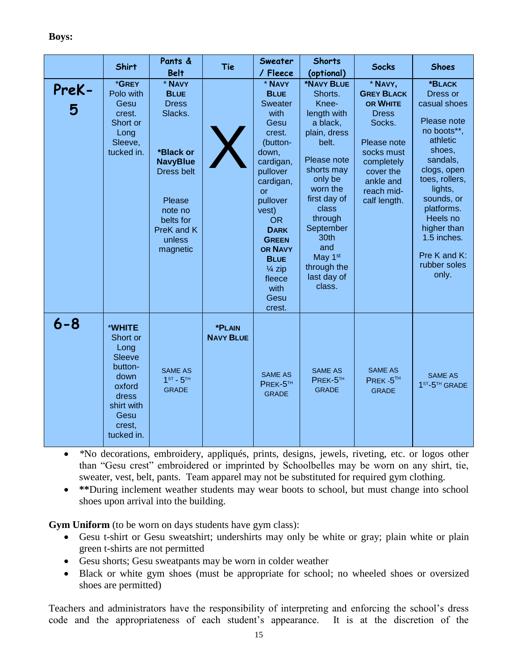|            | <b>Shirt</b>                                                                                                                    | Pants &                                                                                                                                                                                    | Tie                        | Sweater                                                                                                                                                                                                                                                                                      | <b>Shorts</b>                                                                                                                                                                                                                                                                       | <b>Socks</b>                                                                                                                                                          | <b>Shoes</b>                                                                                                                                                                                                                                                  |
|------------|---------------------------------------------------------------------------------------------------------------------------------|--------------------------------------------------------------------------------------------------------------------------------------------------------------------------------------------|----------------------------|----------------------------------------------------------------------------------------------------------------------------------------------------------------------------------------------------------------------------------------------------------------------------------------------|-------------------------------------------------------------------------------------------------------------------------------------------------------------------------------------------------------------------------------------------------------------------------------------|-----------------------------------------------------------------------------------------------------------------------------------------------------------------------|---------------------------------------------------------------------------------------------------------------------------------------------------------------------------------------------------------------------------------------------------------------|
| PreK-<br>5 | *GREY<br>Polo with<br>Gesu<br>crest.<br>Short or<br>Long<br>Sleeve,<br>tucked in.                                               | <b>Belt</b><br>* NAVY<br><b>BLUE</b><br><b>Dress</b><br>Slacks.<br>*Black or<br><b>NavyBlue</b><br><b>Dress belt</b><br>Please<br>note no<br>belts for<br>PreK and K<br>unless<br>magnetic |                            | / Fleece<br>* NAVY<br><b>BLUE</b><br><b>Sweater</b><br>with<br>Gesu<br>crest.<br>(button-<br>down,<br>cardigan,<br>pullover<br>cardigan,<br>or<br>pullover<br>vest)<br>OR.<br><b>DARK</b><br><b>GREEN</b><br>OR NAVY<br><b>BLUE</b><br>$\frac{1}{4}$ zip<br>fleece<br>with<br>Gesu<br>crest. | (optional)<br>*NAVY BLUE<br>Shorts.<br>Knee-<br>length with<br>a black,<br>plain, dress<br>belt.<br>Please note<br>shorts may<br>only be<br>worn the<br>first day of<br>class<br>through<br>September<br>30th<br>and<br>May 1 <sup>st</sup><br>through the<br>last day of<br>class. | * NAVY,<br><b>GREY BLACK</b><br>OR WHITE<br><b>Dress</b><br>Socks.<br>Please note<br>socks must<br>completely<br>cover the<br>ankle and<br>reach mid-<br>calf length. | *BLACK<br>Dress or<br>casual shoes<br>Please note<br>no boots**,<br>athletic<br>shoes,<br>sandals,<br>clogs, open<br>toes, rollers,<br>lights,<br>sounds, or<br>platforms.<br>Heels no<br>higher than<br>1.5 inches.<br>Pre K and K:<br>rubber soles<br>only. |
| $6 - 8$    | *WHITE<br>Short or<br>Long<br><b>Sleeve</b><br>button-<br>down<br>oxford<br>dress<br>shirt with<br>Gesu<br>crest,<br>tucked in. | <b>SAME AS</b><br>$1ST - 5TH$<br><b>GRADE</b>                                                                                                                                              | *PLAIN<br><b>NAVY BLUE</b> | <b>SAME AS</b><br>PREK-5TH<br><b>GRADE</b>                                                                                                                                                                                                                                                   | <b>SAME AS</b><br>PREK-5TH<br><b>GRADE</b>                                                                                                                                                                                                                                          | <b>SAME AS</b><br>PREK 5TH<br><b>GRADE</b>                                                                                                                            | <b>SAME AS</b><br>1 <sup>ST</sup> -5 <sup>TH</sup> GRADE                                                                                                                                                                                                      |

• *\*No decorations, embroidery, appliqués, prints, designs, jewels, riveting, etc. or logos other* than "Gesu crest" embroidered or imprinted by Schoolbelles may be worn on any shirt, tie, sweater, vest, belt, pants. Team apparel may not be substituted for required gym clothing.

• **\*\***During inclement weather students may wear boots to school, but must change into school shoes upon arrival into the building.

**Gym Uniform** (to be worn on days students have gym class):

- Gesu t-shirt or Gesu sweatshirt; undershirts may only be white or gray; plain white or plain green t-shirts are not permitted
- Gesu shorts; Gesu sweatpants may be worn in colder weather
- Black or white gym shoes (must be appropriate for school; no wheeled shoes or oversized shoes are permitted)

Teachers and administrators have the responsibility of interpreting and enforcing the school's dress code and the appropriateness of each student's appearance. It is at the discretion of the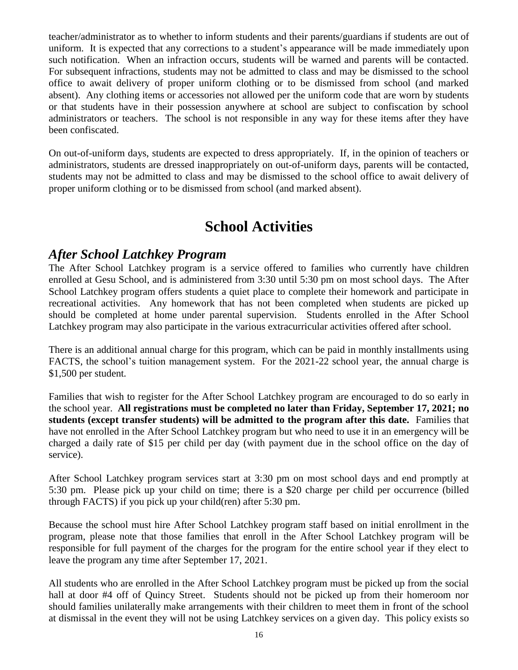teacher/administrator as to whether to inform students and their parents/guardians if students are out of uniform. It is expected that any corrections to a student's appearance will be made immediately upon such notification. When an infraction occurs, students will be warned and parents will be contacted. For subsequent infractions, students may not be admitted to class and may be dismissed to the school office to await delivery of proper uniform clothing or to be dismissed from school (and marked absent). Any clothing items or accessories not allowed per the uniform code that are worn by students or that students have in their possession anywhere at school are subject to confiscation by school administrators or teachers. The school is not responsible in any way for these items after they have been confiscated.

On out-of-uniform days, students are expected to dress appropriately. If, in the opinion of teachers or administrators, students are dressed inappropriately on out-of-uniform days, parents will be contacted, students may not be admitted to class and may be dismissed to the school office to await delivery of proper uniform clothing or to be dismissed from school (and marked absent).

## **School Activities**

#### *After School Latchkey Program*

The After School Latchkey program is a service offered to families who currently have children enrolled at Gesu School, and is administered from 3:30 until 5:30 pm on most school days. The After School Latchkey program offers students a quiet place to complete their homework and participate in recreational activities. Any homework that has not been completed when students are picked up should be completed at home under parental supervision. Students enrolled in the After School Latchkey program may also participate in the various extracurricular activities offered after school.

There is an additional annual charge for this program, which can be paid in monthly installments using FACTS, the school's tuition management system. For the 2021-22 school year, the annual charge is \$1,500 per student*.*

Families that wish to register for the After School Latchkey program are encouraged to do so early in the school year. **All registrations must be completed no later than Friday, September 17, 2021; no students (except transfer students) will be admitted to the program after this date.** Families that have not enrolled in the After School Latchkey program but who need to use it in an emergency will be charged a daily rate of \$15 per child per day (with payment due in the school office on the day of service).

After School Latchkey program services start at 3:30 pm on most school days and end promptly at 5:30 pm. Please pick up your child on time; there is a \$20 charge per child per occurrence (billed through FACTS) if you pick up your child(ren) after 5:30 pm.

Because the school must hire After School Latchkey program staff based on initial enrollment in the program, please note that those families that enroll in the After School Latchkey program will be responsible for full payment of the charges for the program for the entire school year if they elect to leave the program any time after September 17, 2021.

All students who are enrolled in the After School Latchkey program must be picked up from the social hall at door #4 off of Quincy Street. Students should not be picked up from their homeroom nor should families unilaterally make arrangements with their children to meet them in front of the school at dismissal in the event they will not be using Latchkey services on a given day. This policy exists so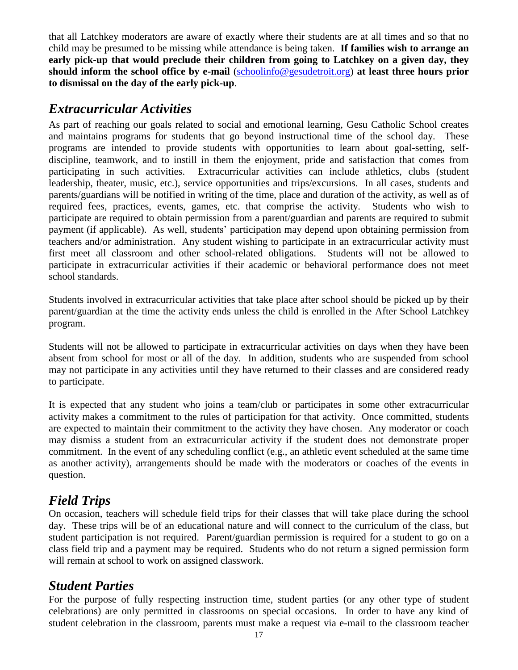that all Latchkey moderators are aware of exactly where their students are at all times and so that no child may be presumed to be missing while attendance is being taken. **If families wish to arrange an early pick-up that would preclude their children from going to Latchkey on a given day, they should inform the school office by e-mail** [\(schoolinfo@gesudetroit.org\)](mailto:schoolinfo@gesudetroit.org) **at least three hours prior to dismissal on the day of the early pick-up**.

#### *Extracurricular Activities*

As part of reaching our goals related to social and emotional learning, Gesu Catholic School creates and maintains programs for students that go beyond instructional time of the school day. These programs are intended to provide students with opportunities to learn about goal-setting, selfdiscipline, teamwork, and to instill in them the enjoyment, pride and satisfaction that comes from participating in such activities. Extracurricular activities can include athletics, clubs (student leadership, theater, music, etc.), service opportunities and trips/excursions. In all cases, students and parents/guardians will be notified in writing of the time, place and duration of the activity, as well as of required fees, practices, events, games, etc. that comprise the activity. Students who wish to participate are required to obtain permission from a parent/guardian and parents are required to submit payment (if applicable). As well, students' participation may depend upon obtaining permission from teachers and/or administration. Any student wishing to participate in an extracurricular activity must first meet all classroom and other school-related obligations. Students will not be allowed to participate in extracurricular activities if their academic or behavioral performance does not meet school standards.

Students involved in extracurricular activities that take place after school should be picked up by their parent/guardian at the time the activity ends unless the child is enrolled in the After School Latchkey program.

Students will not be allowed to participate in extracurricular activities on days when they have been absent from school for most or all of the day. In addition, students who are suspended from school may not participate in any activities until they have returned to their classes and are considered ready to participate.

It is expected that any student who joins a team/club or participates in some other extracurricular activity makes a commitment to the rules of participation for that activity. Once committed, students are expected to maintain their commitment to the activity they have chosen. Any moderator or coach may dismiss a student from an extracurricular activity if the student does not demonstrate proper commitment. In the event of any scheduling conflict (e.g., an athletic event scheduled at the same time as another activity), arrangements should be made with the moderators or coaches of the events in question.

#### *Field Trips*

On occasion, teachers will schedule field trips for their classes that will take place during the school day. These trips will be of an educational nature and will connect to the curriculum of the class, but student participation is not required. Parent/guardian permission is required for a student to go on a class field trip and a payment may be required. Students who do not return a signed permission form will remain at school to work on assigned classwork.

#### *Student Parties*

For the purpose of fully respecting instruction time, student parties (or any other type of student celebrations) are only permitted in classrooms on special occasions. In order to have any kind of student celebration in the classroom, parents must make a request via e-mail to the classroom teacher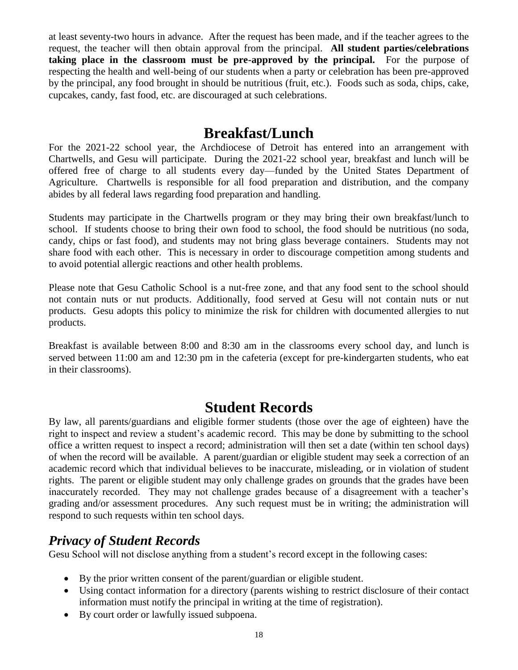at least seventy-two hours in advance. After the request has been made, and if the teacher agrees to the request, the teacher will then obtain approval from the principal. **All student parties/celebrations taking place in the classroom must be pre-approved by the principal.** For the purpose of respecting the health and well-being of our students when a party or celebration has been pre-approved by the principal, any food brought in should be nutritious (fruit, etc.). Foods such as soda, chips, cake, cupcakes, candy, fast food, etc. are discouraged at such celebrations.

## **Breakfast/Lunch**

For the 2021-22 school year, the Archdiocese of Detroit has entered into an arrangement with Chartwells, and Gesu will participate. During the 2021-22 school year, breakfast and lunch will be offered free of charge to all students every day—funded by the United States Department of Agriculture. Chartwells is responsible for all food preparation and distribution, and the company abides by all federal laws regarding food preparation and handling.

Students may participate in the Chartwells program or they may bring their own breakfast/lunch to school. If students choose to bring their own food to school, the food should be nutritious (no soda, candy, chips or fast food), and students may not bring glass beverage containers. Students may not share food with each other. This is necessary in order to discourage competition among students and to avoid potential allergic reactions and other health problems.

Please note that Gesu Catholic School is a nut-free zone, and that any food sent to the school should not contain nuts or nut products. Additionally, food served at Gesu will not contain nuts or nut products. Gesu adopts this policy to minimize the risk for children with documented allergies to nut products.

Breakfast is available between 8:00 and 8:30 am in the classrooms every school day, and lunch is served between 11:00 am and 12:30 pm in the cafeteria (except for pre-kindergarten students, who eat in their classrooms).

## **Student Records**

By law, all parents/guardians and eligible former students (those over the age of eighteen) have the right to inspect and review a student's academic record. This may be done by submitting to the school office a written request to inspect a record; administration will then set a date (within ten school days) of when the record will be available. A parent/guardian or eligible student may seek a correction of an academic record which that individual believes to be inaccurate, misleading, or in violation of student rights. The parent or eligible student may only challenge grades on grounds that the grades have been inaccurately recorded. They may not challenge grades because of a disagreement with a teacher's grading and/or assessment procedures. Any such request must be in writing; the administration will respond to such requests within ten school days.

#### *Privacy of Student Records*

Gesu School will not disclose anything from a student's record except in the following cases:

- By the prior written consent of the parent/guardian or eligible student.
- Using contact information for a directory (parents wishing to restrict disclosure of their contact information must notify the principal in writing at the time of registration).
- By court order or lawfully issued subpoena.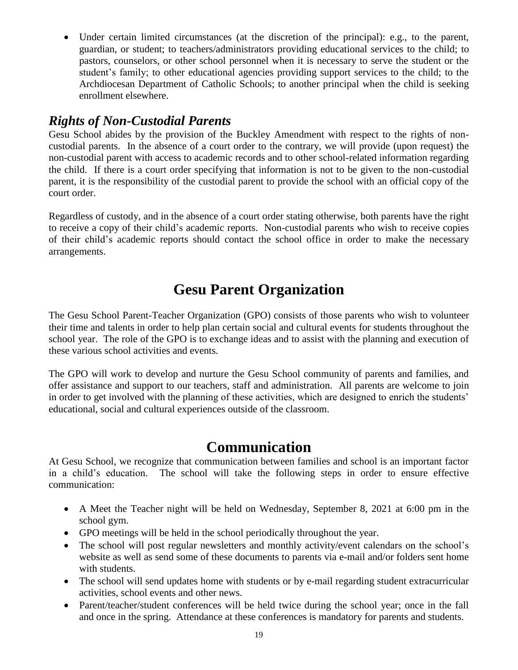• Under certain limited circumstances (at the discretion of the principal): e.g., to the parent, guardian, or student; to teachers/administrators providing educational services to the child; to pastors, counselors, or other school personnel when it is necessary to serve the student or the student's family; to other educational agencies providing support services to the child; to the Archdiocesan Department of Catholic Schools; to another principal when the child is seeking enrollment elsewhere.

#### *Rights of Non-Custodial Parents*

Gesu School abides by the provision of the Buckley Amendment with respect to the rights of noncustodial parents. In the absence of a court order to the contrary, we will provide (upon request) the non-custodial parent with access to academic records and to other school-related information regarding the child. If there is a court order specifying that information is not to be given to the non-custodial parent, it is the responsibility of the custodial parent to provide the school with an official copy of the court order.

Regardless of custody, and in the absence of a court order stating otherwise, both parents have the right to receive a copy of their child's academic reports. Non-custodial parents who wish to receive copies of their child's academic reports should contact the school office in order to make the necessary arrangements.

## **Gesu Parent Organization**

The Gesu School Parent-Teacher Organization (GPO) consists of those parents who wish to volunteer their time and talents in order to help plan certain social and cultural events for students throughout the school year. The role of the GPO is to exchange ideas and to assist with the planning and execution of these various school activities and events.

The GPO will work to develop and nurture the Gesu School community of parents and families, and offer assistance and support to our teachers, staff and administration. All parents are welcome to join in order to get involved with the planning of these activities, which are designed to enrich the students' educational, social and cultural experiences outside of the classroom.

## **Communication**

At Gesu School, we recognize that communication between families and school is an important factor in a child's education. The school will take the following steps in order to ensure effective communication:

- A Meet the Teacher night will be held on Wednesday, September 8, 2021 at 6:00 pm in the school gym.
- GPO meetings will be held in the school periodically throughout the year.
- The school will post regular newsletters and monthly activity/event calendars on the school's website as well as send some of these documents to parents via e-mail and/or folders sent home with students.
- The school will send updates home with students or by e-mail regarding student extracurricular activities, school events and other news.
- Parent/teacher/student conferences will be held twice during the school year; once in the fall and once in the spring. Attendance at these conferences is mandatory for parents and students.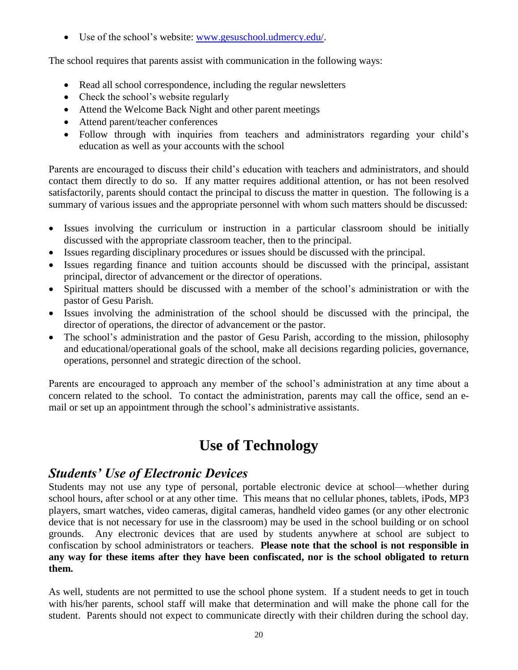• Use of the school's website: [www.gesuschool.udmercy.edu/.](https://www.gesuschool.udmercy.edu/)

The school requires that parents assist with communication in the following ways:

- Read all school correspondence, including the regular newsletters
- Check the school's website regularly
- Attend the Welcome Back Night and other parent meetings
- Attend parent/teacher conferences
- Follow through with inquiries from teachers and administrators regarding your child's education as well as your accounts with the school

Parents are encouraged to discuss their child's education with teachers and administrators, and should contact them directly to do so. If any matter requires additional attention, or has not been resolved satisfactorily, parents should contact the principal to discuss the matter in question. The following is a summary of various issues and the appropriate personnel with whom such matters should be discussed:

- Issues involving the curriculum or instruction in a particular classroom should be initially discussed with the appropriate classroom teacher, then to the principal.
- Issues regarding disciplinary procedures or issues should be discussed with the principal.
- Issues regarding finance and tuition accounts should be discussed with the principal, assistant principal, director of advancement or the director of operations.
- Spiritual matters should be discussed with a member of the school's administration or with the pastor of Gesu Parish.
- Issues involving the administration of the school should be discussed with the principal, the director of operations, the director of advancement or the pastor.
- The school's administration and the pastor of Gesu Parish, according to the mission, philosophy and educational/operational goals of the school, make all decisions regarding policies, governance, operations, personnel and strategic direction of the school.

Parents are encouraged to approach any member of the school's administration at any time about a concern related to the school. To contact the administration, parents may call the office, send an email or set up an appointment through the school's administrative assistants.

## **Use of Technology**

#### *Students' Use of Electronic Devices*

Students may not use any type of personal, portable electronic device at school—whether during school hours, after school or at any other time. This means that no cellular phones, tablets, iPods, MP3 players, smart watches, video cameras, digital cameras, handheld video games (or any other electronic device that is not necessary for use in the classroom) may be used in the school building or on school grounds. Any electronic devices that are used by students anywhere at school are subject to confiscation by school administrators or teachers. **Please note that the school is not responsible in any way for these items after they have been confiscated, nor is the school obligated to return them.**

As well, students are not permitted to use the school phone system. If a student needs to get in touch with his/her parents, school staff will make that determination and will make the phone call for the student. Parents should not expect to communicate directly with their children during the school day.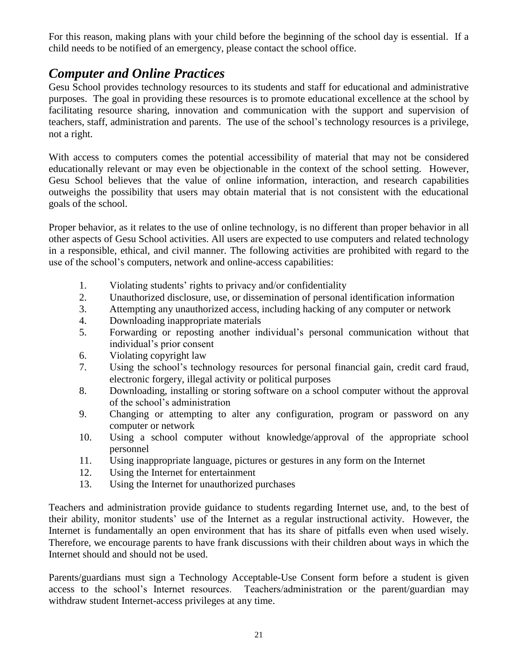For this reason, making plans with your child before the beginning of the school day is essential. If a child needs to be notified of an emergency, please contact the school office.

#### *Computer and Online Practices*

Gesu School provides technology resources to its students and staff for educational and administrative purposes. The goal in providing these resources is to promote educational excellence at the school by facilitating resource sharing, innovation and communication with the support and supervision of teachers, staff, administration and parents. The use of the school's technology resources is a privilege, not a right.

With access to computers comes the potential accessibility of material that may not be considered educationally relevant or may even be objectionable in the context of the school setting. However, Gesu School believes that the value of online information, interaction, and research capabilities outweighs the possibility that users may obtain material that is not consistent with the educational goals of the school.

Proper behavior, as it relates to the use of online technology, is no different than proper behavior in all other aspects of Gesu School activities. All users are expected to use computers and related technology in a responsible, ethical, and civil manner. The following activities are prohibited with regard to the use of the school's computers, network and online-access capabilities:

- 1. Violating students' rights to privacy and/or confidentiality
- 2. Unauthorized disclosure, use, or dissemination of personal identification information
- 3. Attempting any unauthorized access, including hacking of any computer or network
- 4. Downloading inappropriate materials
- 5. Forwarding or reposting another individual's personal communication without that individual's prior consent
- 6. Violating copyright law
- 7. Using the school's technology resources for personal financial gain, credit card fraud, electronic forgery, illegal activity or political purposes
- 8. Downloading, installing or storing software on a school computer without the approval of the school's administration
- 9. Changing or attempting to alter any configuration, program or password on any computer or network
- 10. Using a school computer without knowledge/approval of the appropriate school personnel
- 11. Using inappropriate language, pictures or gestures in any form on the Internet
- 12. Using the Internet for entertainment
- 13. Using the Internet for unauthorized purchases

Teachers and administration provide guidance to students regarding Internet use, and, to the best of their ability, monitor students' use of the Internet as a regular instructional activity. However, the Internet is fundamentally an open environment that has its share of pitfalls even when used wisely. Therefore, we encourage parents to have frank discussions with their children about ways in which the Internet should and should not be used.

Parents/guardians must sign a Technology Acceptable-Use Consent form before a student is given access to the school's Internet resources. Teachers/administration or the parent/guardian may withdraw student Internet-access privileges at any time.